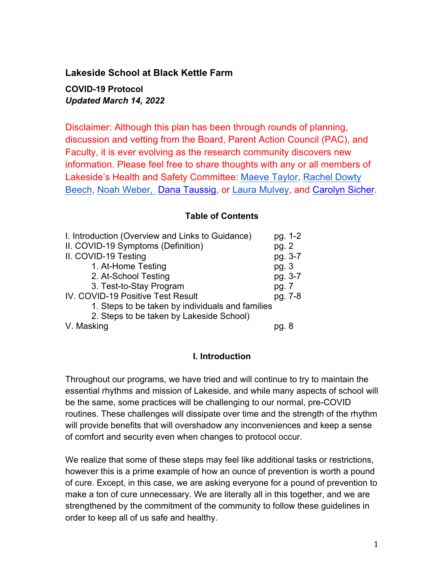**Lakeside School at Black Kettle Farm**

**COVID-19 Protocol** *Updated March 14, 2022*

Disclaimer: Although this plan has been through rounds of planning, discussion and vetting from the Board, Parent Action Council (PAC), and Faculty, it is ever evolving as the research community discovers new information. Please feel free to share thoughts with any or all members of Lakeside's Health and Safety Committee: Maeve Taylor, Rachel Dowty Beech, Noah Weber, Dana Taussig, or Laura Mulvey, and Carolyn Sicher.

## **Table of Contents**

| I. Introduction (Overview and Links to Guidance) | pg. 1-2 |  |
|--------------------------------------------------|---------|--|
| II. COVID-19 Symptoms (Definition)               | pg. 2   |  |
| II. COVID-19 Testing                             | pg. 3-7 |  |
| 1. At-Home Testing                               | pg.3    |  |
| 2. At-School Testing                             | pg. 3-7 |  |
| 3. Test-to-Stay Program                          | pg. 7   |  |
| IV. COVID-19 Positive Test Result                | pg. 7-8 |  |
| 1. Steps to be taken by individuals and families |         |  |
| 2. Steps to be taken by Lakeside School)         |         |  |
| V. Masking                                       |         |  |

## **I. Introduction**

Throughout our programs, we have tried and will continue to try to maintain the essential rhythms and mission of Lakeside, and while many aspects of school will be the same, some practices will be challenging to our normal, pre-COVID routines. These challenges will dissipate over time and the strength of the rhythm will provide benefits that will overshadow any inconveniences and keep a sense of comfort and security even when changes to protocol occur.

We realize that some of these steps may feel like additional tasks or restrictions, however this is a prime example of how an ounce of prevention is worth a pound of cure. Except, in this case, we are asking everyone for a pound of prevention to make a ton of cure unnecessary. We are literally all in this together, and we are strengthened by the commitment of the community to follow these guidelines in order to keep all of us safe and healthy.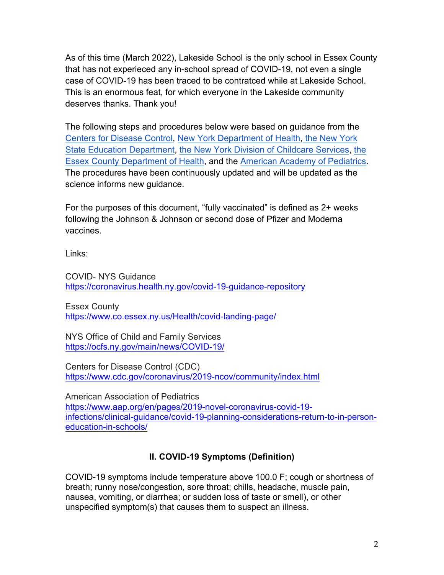As of this time (March 2022), Lakeside School is the only school in Essex County that has not experieced any in-school spread of COVID-19, not even a single case of COVID-19 has been traced to be contratced while at Lakeside School. This is an enormous feat, for which everyone in the Lakeside community deserves thanks. Thank you!

The following steps and procedures below were based on guidance from the Centers for Disease Control, New York Department of Health, the New York State Education Department, the New York Division of Childcare Services, the Essex County Department of Health, and the American Academy of Pediatrics. The procedures have been continuously updated and will be updated as the science informs new guidance.

For the purposes of this document, "fully vaccinated" is defined as 2+ weeks following the Johnson & Johnson or second dose of Pfizer and Moderna vaccines.

Links:

COVID- NYS Guidance https://coronavirus.health.ny.gov/covid-19-guidance-repository

Essex County https://www.co.essex.ny.us/Health/covid-landing-page/

NYS Office of Child and Family Services https://ocfs.ny.gov/main/news/COVID-19/

Centers for Disease Control (CDC) https://www.cdc.gov/coronavirus/2019-ncov/community/index.html

American Association of Pediatrics https://www.aap.org/en/pages/2019-novel-coronavirus-covid-19 infections/clinical-guidance/covid-19-planning-considerations-return-to-in-personeducation-in-schools/

# **II. COVID-19 Symptoms (Definition)**

COVID-19 symptoms include temperature above 100.0 F; cough or shortness of breath; runny nose/congestion, sore throat; chills, headache, muscle pain, nausea, vomiting, or diarrhea; or sudden loss of taste or smell), or other unspecified symptom(s) that causes them to suspect an illness.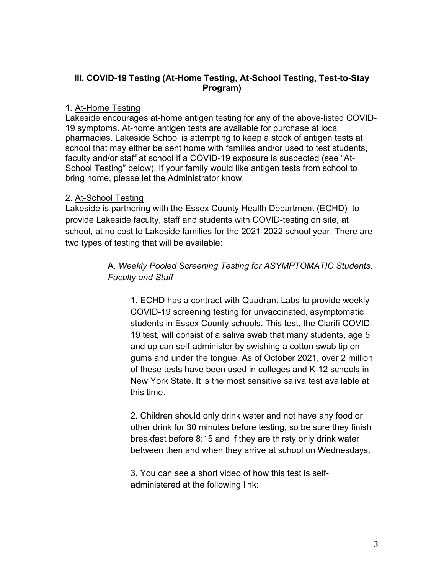## **III. COVID-19 Testing (At-Home Testing, At-School Testing, Test-to-Stay Program)**

## 1*.* At-Home Testing

Lakeside encourages at-home antigen testing for any of the above-listed COVID-19 symptoms. At-home antigen tests are available for purchase at local pharmacies. Lakeside School is attempting to keep a stock of antigen tests at school that may either be sent home with families and/or used to test students, faculty and/or staff at school if a COVID-19 exposure is suspected (see "At-School Testing" below). If your family would like antigen tests from school to bring home, please let the Administrator know.

# 2. At-School Testing

Lakeside is partnering with the Essex County Health Department (ECHD) to provide Lakeside faculty, staff and students with COVID-testing on site, at school, at no cost to Lakeside families for the 2021-2022 school year. There are two types of testing that will be available:

> A. *Weekly Pooled Screening Testing for ASYMPTOMATIC Students, Faculty and Staff*

1. ECHD has a contract with Quadrant Labs to provide weekly COVID-19 screening testing for unvaccinated, asymptomatic students in Essex County schools. This test, the Clarifi COVID-19 test, will consist of a saliva swab that many students, age 5 and up can self-administer by swishing a cotton swab tip on gums and under the tongue. As of October 2021, over 2 million of these tests have been used in colleges and K-12 schools in New York State. It is the most sensitive saliva test available at this time.

2. Children should only drink water and not have any food or other drink for 30 minutes before testing, so be sure they finish breakfast before 8:15 and if they are thirsty only drink water between then and when they arrive at school on Wednesdays.

3. You can see a short video of how this test is selfadministered at the following link: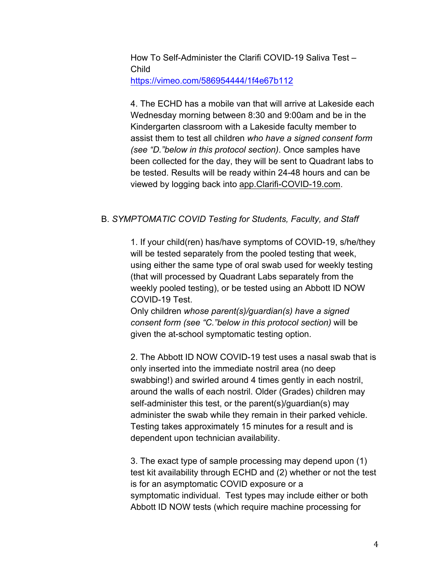How To Self-Administer the Clarifi COVID-19 Saliva Test – Child https://vimeo.com/586954444/1f4e67b112

4. The ECHD has a mobile van that will arrive at Lakeside each Wednesday morning between 8:30 and 9:00am and be in the Kindergarten classroom with a Lakeside faculty member to assist them to test all children *who have a signed consent form (see "D."below in this protocol section)*. Once samples have been collected for the day, they will be sent to Quadrant labs to be tested. Results will be ready within 24-48 hours and can be viewed by logging back into app.Clarifi-COVID-19.com.

#### B. *SYMPTOMATIC COVID Testing for Students, Faculty, and Staff*

1. If your child(ren) has/have symptoms of COVID-19, s/he/they will be tested separately from the pooled testing that week, using either the same type of oral swab used for weekly testing (that will processed by Quadrant Labs separately from the weekly pooled testing), or be tested using an Abbott ID NOW COVID-19 Test.

Only children *whose parent(s)/guardian(s) have a signed consent form (see "C."below in this protocol section)* will be given the at-school symptomatic testing option.

2. The Abbott ID NOW COVID-19 test uses a nasal swab that is only inserted into the immediate nostril area (no deep swabbing!) and swirled around 4 times gently in each nostril, around the walls of each nostril. Older (Grades) children may self-administer this test, or the parent(s)/guardian(s) may administer the swab while they remain in their parked vehicle. Testing takes approximately 15 minutes for a result and is dependent upon technician availability.

3. The exact type of sample processing may depend upon (1) test kit availability through ECHD and (2) whether or not the test is for an asymptomatic COVID exposure or a symptomatic individual. Test types may include either or both Abbott ID NOW tests (which require machine processing for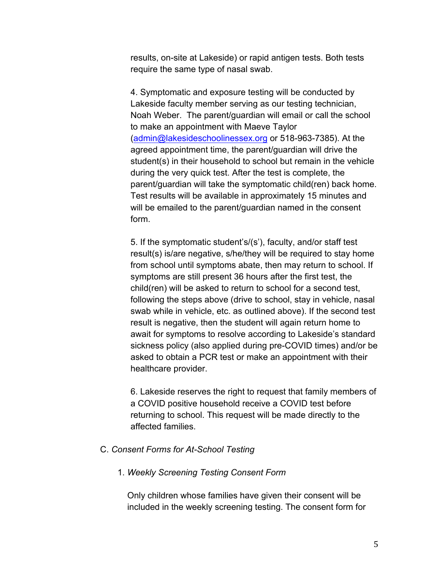results, on-site at Lakeside) or rapid antigen tests. Both tests require the same type of nasal swab.

4. Symptomatic and exposure testing will be conducted by Lakeside faculty member serving as our testing technician, Noah Weber. The parent/guardian will email or call the school to make an appointment with Maeve Taylor (admin@lakesideschoolinessex.org or 518-963-7385). At the agreed appointment time, the parent/guardian will drive the student(s) in their household to school but remain in the vehicle during the very quick test. After the test is complete, the parent/guardian will take the symptomatic child(ren) back home. Test results will be available in approximately 15 minutes and will be emailed to the parent/guardian named in the consent form.

5. If the symptomatic student's/(s'), faculty, and/or staff test result(s) is/are negative, s/he/they will be required to stay home from school until symptoms abate, then may return to school. If symptoms are still present 36 hours after the first test, the child(ren) will be asked to return to school for a second test, following the steps above (drive to school, stay in vehicle, nasal swab while in vehicle, etc. as outlined above). If the second test result is negative, then the student will again return home to await for symptoms to resolve according to Lakeside's standard sickness policy (also applied during pre-COVID times) and/or be asked to obtain a PCR test or make an appointment with their healthcare provider.

6. Lakeside reserves the right to request that family members of a COVID positive household receive a COVID test before returning to school. This request will be made directly to the affected families.

#### C. *Consent Forms for At-School Testing*

#### 1. *Weekly Screening Testing Consent Form*

Only children whose families have given their consent will be included in the weekly screening testing. The consent form for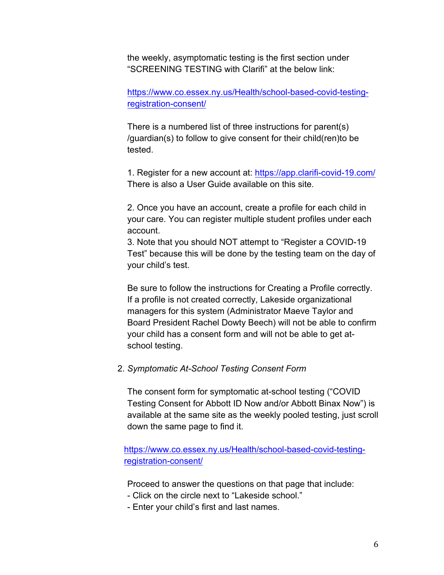the weekly, asymptomatic testing is the first section under "SCREENING TESTING with Clarifi" at the below link:

https://www.co.essex.ny.us/Health/school-based-covid-testingregistration-consent/

There is a numbered list of three instructions for parent(s) /guardian(s) to follow to give consent for their child(ren)to be tested.

1. Register for a new account at: https://app.clarifi-covid-19.com/ There is also a User Guide available on this site.

2. Once you have an account, create a profile for each child in your care. You can register multiple student profiles under each account.

3. Note that you should NOT attempt to "Register a COVID-19 Test" because this will be done by the testing team on the day of your child's test.

Be sure to follow the instructions for Creating a Profile correctly. If a profile is not created correctly, Lakeside organizational managers for this system (Administrator Maeve Taylor and Board President Rachel Dowty Beech) will not be able to confirm your child has a consent form and will not be able to get atschool testing.

#### 2. *Symptomatic At-School Testing Consent Form*

The consent form for symptomatic at-school testing ("COVID Testing Consent for Abbott ID Now and/or Abbott Binax Now") is available at the same site as the weekly pooled testing, just scroll down the same page to find it.

### https://www.co.essex.ny.us/Health/school-based-covid-testingregistration-consent/

Proceed to answer the questions on that page that include:

- Click on the circle next to "Lakeside school."
- Enter your child's first and last names.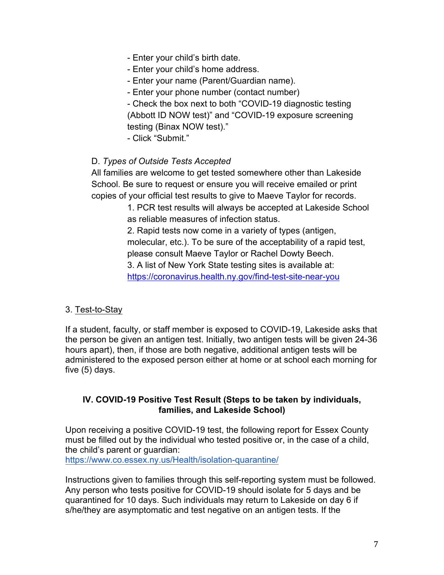- Enter your child's birth date.
- Enter your child's home address.
- Enter your name (Parent/Guardian name).
- Enter your phone number (contact number)

- Check the box next to both "COVID-19 diagnostic testing (Abbott ID NOW test)" and "COVID-19 exposure screening testing (Binax NOW test)."

- Click "Submit."

# D. *Types of Outside Tests Accepted*

All families are welcome to get tested somewhere other than Lakeside School. Be sure to request or ensure you will receive emailed or print copies of your official test results to give to Maeve Taylor for records.

> 1. PCR test results will always be accepted at Lakeside School as reliable measures of infection status.

2. Rapid tests now come in a variety of types (antigen, molecular, etc.). To be sure of the acceptability of a rapid test, please consult Maeve Taylor or Rachel Dowty Beech. 3. A list of New York State testing sites is available at: https://coronavirus.health.ny.gov/find-test-site-near-you

# 3. Test-to-Stay

If a student, faculty, or staff member is exposed to COVID-19, Lakeside asks that the person be given an antigen test. Initially, two antigen tests will be given 24-36 hours apart), then, if those are both negative, additional antigen tests will be administered to the exposed person either at home or at school each morning for five (5) days.

# **IV. COVID-19 Positive Test Result (Steps to be taken by individuals, families, and Lakeside School)**

Upon receiving a positive COVID-19 test, the following report for Essex County must be filled out by the individual who tested positive or, in the case of a child, the child's parent or guardian:

https://www.co.essex.ny.us/Health/isolation-quarantine/

Instructions given to families through this self-reporting system must be followed. Any person who tests positive for COVID-19 should isolate for 5 days and be quarantined for 10 days. Such individuals may return to Lakeside on day 6 if s/he/they are asymptomatic and test negative on an antigen tests. If the